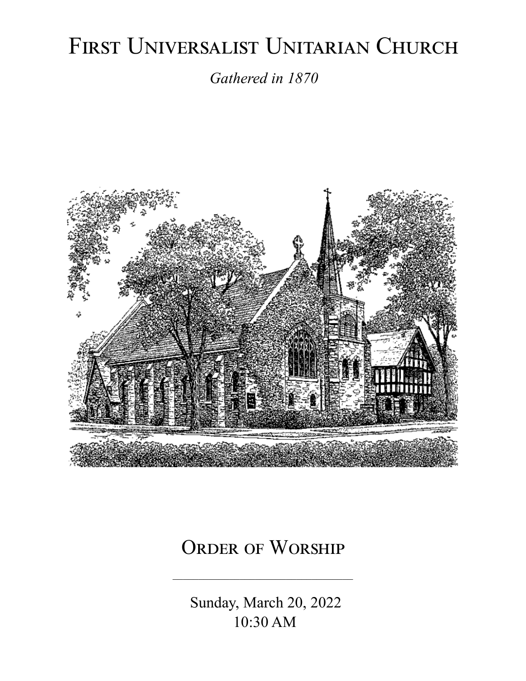# FIRST UNIVERSALIST UNITARIAN CHURCH

*Gathered in 1870*



# ORDER OF WORSHIP

 Sunday, March 20, 2022 10:30 AM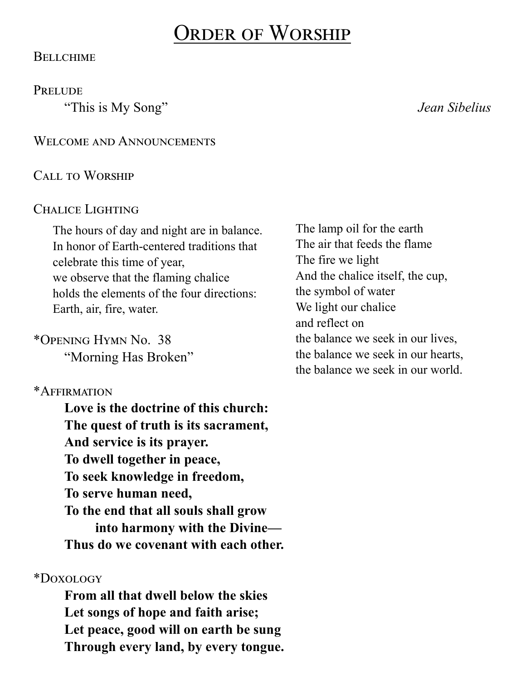# Order of Worship

#### **BELLCHIME**

**PRELUDE** 

"This is My Song" *Jean Sibelius*

WELCOME AND ANNOUNCEMENTS

#### Call to Worship

#### CHALICE LIGHTING

The hours of day and night are in balance. In honor of Earth-centered traditions that celebrate this time of year, we observe that the flaming chalice holds the elements of the four directions: Earth, air, fire, water.

#### \*Opening Hymn No. 38

"Morning Has Broken"

#### \*Affirmation

**Love is the doctrine of this church: The quest of truth is its sacrament, And service is its prayer. To dwell together in peace, To seek knowledge in freedom, To serve human need, To the end that all souls shall grow into harmony with the Divine— Thus do we covenant with each other.**

#### \*Doxology

**From all that dwell below the skies Let songs of hope and faith arise; Let peace, good will on earth be sung Through every land, by every tongue.**

The lamp oil for the earth The air that feeds the flame The fire we light And the chalice itself, the cup, the symbol of water We light our chalice and reflect on the balance we seek in our lives, the balance we seek in our hearts, the balance we seek in our world.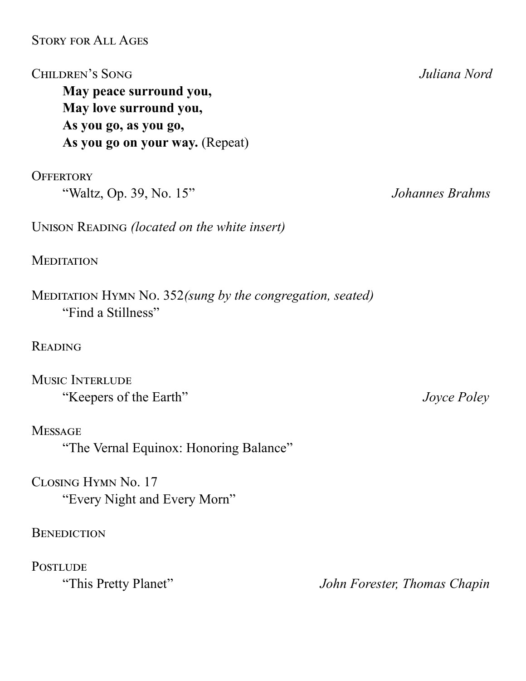#### Story for All Ages

Children's Song *Juliana Nord* **May peace surround you, May love surround you, As you go, as you go, As you go on your way.** (Repeat)

**OFFERTORY** "Waltz, Op. 39, No. 15" *Johannes Brahms*

UNISON READING *(located on the white insert)* 

**MEDITATION** 

Meditation Hymn No. 352*(sung by the congregation, seated)* "Find a Stillness"

**READING** 

MUSIC INTERLUDE "Keepers of the Earth" *Joyce Poley*

**MESSAGE** "The Vernal Equinox: Honoring Balance"

Closing Hymn No. 17 "Every Night and Every Morn"

**BENEDICTION** 

**POSTLUDE** 

"This Pretty Planet" *John Forester, Thomas Chapin*